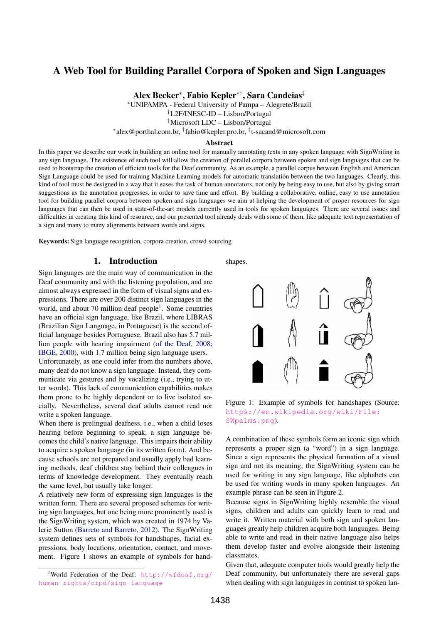# A Web Tool for Building Parallel Corpora of Spoken and Sign Languages

Alex Becker<sup>∗</sup> , Fabio Kepler∗†, Sara Candeias‡

<sup>∗</sup>UNIPAMPA - Federal University of Pampa – Alegrete/Brazil

†L2F/INESC-ID – Lisbon/Portugal

‡Microsoft LDC – Lisbon/Portugal

∗ alex@porthal.com.br, † fabio@kepler.pro.br, ‡ t-sacand@microsoft.com

#### Abstract

In this paper we describe our work in building an online tool for manually annotating texts in any spoken language with SignWriting in any sign language. The existence of such tool will allow the creation of parallel corpora between spoken and sign languages that can be used to bootstrap the creation of efficient tools for the Deaf community. As an example, a parallel corpus between English and American Sign Language could be used for training Machine Learning models for automatic translation between the two languages. Clearly, this kind of tool must be designed in a way that it eases the task of human annotators, not only by being easy to use, but also by giving smart suggestions as the annotation progresses, in order to save time and effort. By building a collaborative, online, easy to use annotation tool for building parallel corpora between spoken and sign languages we aim at helping the development of proper resources for sign languages that can then be used in state-of-the-art models currently used in tools for spoken languages. There are several issues and difficulties in creating this kind of resource, and our presented tool already deals with some of them, like adequate text representation of a sign and many to many alignments between words and signs.

Keywords: Sign language recognition, corpora creation, crowd-sourcing

#### 1. Introduction

Sign languages are the main way of communication in the Deaf community and with the listening population, and are almost always expressed in the form of visual signs and expressions. There are over 200 distinct sign languages in the world, and about 70 million deaf people<sup>[1](#page-0-0)</sup>. Some countries have an official sign language, like Brazil, where LIBRAS (Brazilian Sign Language, in Portuguese) is the second official language besides Portuguese. Brazil also has 5.7 million people with hearing impairment [\(of the Deaf, 2008;](#page-5-0) [IBGE, 2000\)](#page-5-1), with 1.7 million being sign language users.

Unfortunately, as one could infer from the numbers above, many deaf do not know a sign language. Instead, they communicate via gestures and by vocalizing (i.e., trying to utter words). This lack of communication capabilities makes them prone to be highly dependent or to live isolated socially. Nevertheless, several deaf adults cannot read nor write a spoken language.

When there is prelingual deafness, i.e., when a child loses hearing before beginning to speak, a sign language becomes the child's native language. This impairs their ability to acquire a spoken language (in its written form). And because schools are not prepared and usually apply bad learning methods, deaf children stay behind their colleagues in terms of knowledge development. They eventually reach the same level, but usually take longer.

A relatively new form of expressing sign languages is the written form. There are several proposed schemes for writing sign languages, but one being more prominently used is the SignWriting system, which was created in 1974 by Valerie Sutton [\(Barreto and Barreto, 2012\)](#page-5-2). The SignWriting system defines sets of symbols for handshapes, facial expressions, body locations, orientation, contact, and movement. Figure [1](#page-0-1) shows an example of symbols for hand-





<span id="page-0-1"></span>Figure 1: Example of symbols for handshapes (Source: [https://en.wikipedia.org/wiki/File:](https://en.wikipedia.org/wiki/File:SWpalms.png) [SWpalms.png](https://en.wikipedia.org/wiki/File:SWpalms.png)).

A combination of these symbols form an iconic sign which represents a proper sign (a "word") in a sign language. Since a sign represents the physical formation of a visual sign and not its meaning, the SignWriting system can be used for writing in any sign language, like alphabets can be used for writing words in many spoken languages. An example phrase can be seen in Figure [2.](#page-1-0)

Because signs in SignWriting highly resemble the visual signs, children and adults can quickly learn to read and write it. Written material with both sign and spoken languages greatly help children acquire both languages. Being able to write and read in their native language also helps them develop faster and evolve alongside their listening classmates.

Given that, adequate computer tools would greatly help the Deaf community, but unfortunately there are several gaps when dealing with sign languages in contrast to spoken lan-

<span id="page-0-0"></span><sup>1</sup>World Federation of the Deaf: [http://wfdeaf.org/](http://wfdeaf.org/human-rights/crpd/sign-language) [human-rights/crpd/sign-language](http://wfdeaf.org/human-rights/crpd/sign-language)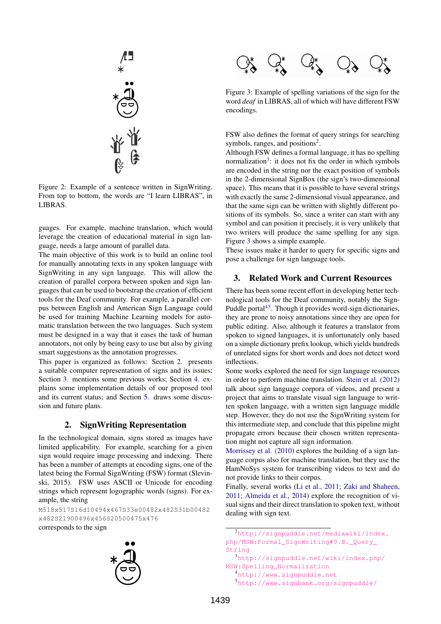

<span id="page-1-0"></span>Figure 2: Example of a sentence written in SignWriting. From top to bottom, the words are "I learn LIBRAS", in LIBRAS.

guages. For example, machine translation, which would leverage the creation of educational material in sign language, needs a large amount of parallel data.

The main objective of this work is to build an online tool for manually annotating texts in any spoken language with SignWriting in any sign language. This will allow the creation of parallel corpora between spoken and sign languages that can be used to bootstrap the creation of efficient tools for the Deaf community. For example, a parallel corpus between English and American Sign Language could be used for training Machine Learning models for automatic translation between the two languages. Such system must be designed in a way that it eases the task of human annotators, not only by being easy to use but also by giving smart suggestions as the annotation progresses.

This paper is organized as follows: Section [2.](#page-1-1) presents a suitable computer representation of signs and its issues; Section [3.](#page-1-2) mentions some previous works; Section [4.](#page-2-0) explains some implementation details of our proposed tool and its current status; and Section [5.](#page-2-1) draws some discussion and future plans.

### 2. SignWriting Representation

<span id="page-1-1"></span>In the technological domain, signs stored as images have limited applicability. For example, searching for a given sign would require image processing and indexing. There has been a number of attempts at encoding signs, one of the latest being the Formal SignWriting (FSW) format (Slevinski, 2015). FSW uses ASCII or Unicode for encoding strings which represent logographic words (signs). For example, the string

M518x517S16d10494x467S33e00482x482S31b00482 x482S21900496x456S20500475x476

corresponds to the sign



<span id="page-1-5"></span>Figure 3: Example of spelling variations of the sign for the word *deaf* in LIBRAS, all of which will have different FSW encodings.

FSW also defines the format of query strings for searching symbols, ranges, and positions<sup>[2](#page-1-3)</sup>.

Although FSW defines a formal language, it has no spelling normalization<sup>[3](#page-1-4)</sup>: it does not fix the order in which symbols are encoded in the string nor the exact position of symbols in the 2-dimensional SignBox (the sign's two-dimensional space). This means that it is possible to have several strings with exactly the same 2-dimensional visual appearance, and that the same sign can be written with slightly different positions of its symbols. So, since a writer can start with any symbol and can position it precisely, it is very unlikely that two writers will produce the same spelling for any sign. Figure [3](#page-1-5) shows a simple example.

These issues make it harder to query for specific signs and pose a challenge for sign language tools.

#### <span id="page-1-2"></span>3. Related Work and Current Resources

There has been some recent effort in developing better technological tools for the Deaf community, notably the Sign-Puddle portal<sup>[4](#page-1-6)[5](#page-1-7)</sup>. Though it provides word-sign dictionaries, they are prone to noisy annotations since they are open for public editing. Also, although it features a translator from spoken to signed languages, it is unfortunately only based on a simple dictionary prefix lookup, which yields hundreds of unrelated signs for short words and does not detect word inflections.

Some works explored the need for sign language resources in order to perform machine translation. [Stein et al. \(2012\)](#page-5-3) talk about sign language corpora of videos, and present a project that aims to translate visual sign language to written spoken language, with a written sign language middle step. However, they do not use the SignWriting system for this intermediate step, and conclude that this pipeline might propagate errors because their chosen written representation might not capture all sign information.

[Morrissey et al. \(2010\)](#page-5-4) explores the building of a sign language corpus also for machine translation, but they use the HamNoSys system for transcribing videos to text and do not provide links to their corpus.

Finally, several works [\(Li et al., 2011;](#page-5-5) [Zaki and Shaheen,](#page-5-6) [2011;](#page-5-6) [Almeida et al., 2014\)](#page-5-7) explore the recognition of visual signs and their direct translation to spoken text, without dealing with sign text.

<span id="page-1-4"></span><sup>3</sup>[http://signpuddle.net/wiki/index.php/](http://signpuddle.net/wiki/index.php/MSW:Spelling_Normalization) [MSW:Spelling\\_Normalization](http://signpuddle.net/wiki/index.php/MSW:Spelling_Normalization)

<span id="page-1-3"></span><sup>2</sup>[http://signpuddle.net/mediawiki/index.](http://signpuddle.net/mediawiki/index.php/MSW:Formal_SignWriting#9.B._Query_String) [php/MSW:Formal\\_SignWriting#9.B.\\_Query\\_](http://signpuddle.net/mediawiki/index.php/MSW:Formal_SignWriting#9.B._Query_String) [String](http://signpuddle.net/mediawiki/index.php/MSW:Formal_SignWriting#9.B._Query_String)

<span id="page-1-6"></span><sup>4</sup><http://www.signpuddle.net>

<span id="page-1-7"></span><sup>5</sup><http://www.signbank.org/signpuddle/>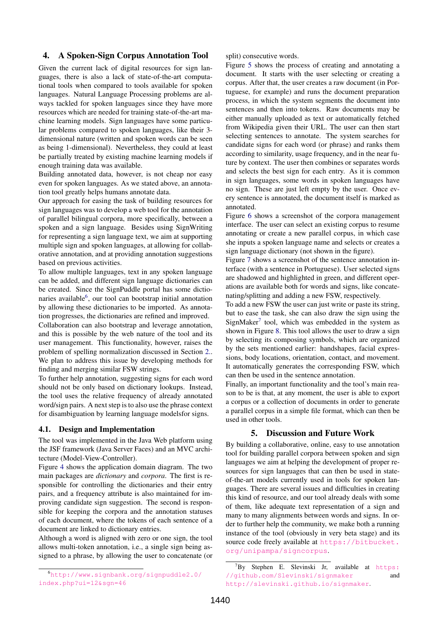## <span id="page-2-0"></span>4. A Spoken-Sign Corpus Annotation Tool

Given the current lack of digital resources for sign languages, there is also a lack of state-of-the-art computational tools when compared to tools available for spoken languages. Natural Language Processing problems are always tackled for spoken languages since they have more resources which are needed for training state-of-the-art machine learning models. Sign languages have some particular problems compared to spoken languages, like their 3 dimensional nature (written and spoken words can be seen as being 1-dimensional). Nevertheless, they could at least be partially treated by existing machine learning models if enough training data was available.

Building annotated data, however, is not cheap nor easy even for spoken languages. As we stated above, an annotation tool greatly helps humans annotate data.

Our approach for easing the task of building resources for sign languages was to develop a web tool for the annotation of parallel bilingual corpora, more specifically, between a spoken and a sign language. Besides using SignWriting for representing a sign language text, we aim at supporting multiple sign and spoken languages, at allowing for collaborative annotation, and at providing annotation suggestions based on previous activities.

To allow multiple languages, text in any spoken language can be added, and different sign language dictionaries can be created. Since the SignPuddle portal has some dictio-naries available<sup>[6](#page-2-2)</sup>, our tool can bootstrap initial annotation by allowing these dictionaries to be imported. As annotation progresses, the dictionaries are refined and improved.

Collaboration can also bootstrap and leverage annotation, and this is possible by the web nature of the tool and its user management. This functionality, however, raises the problem of spelling normalization discussed in Section [2..](#page-1-1) We plan to address this issue by developing methods for finding and merging similar FSW strings.

To further help annotation, suggesting signs for each word should not be only based on dictionary lookups. Instead, the tool uses the relative frequency of already annotated word/sign pairs. A next step is to also use the phrase context for disambiguation by learning language modelsfor signs.

#### 4.1. Design and Implementation

The tool was implemented in the Java Web platform using the JSF framework (Java Server Faces) and an MVC architecture (Model-View-Controller).

Figure [4](#page-3-0) shows the application domain diagram. The two main packages are *dictionary* and *corpora*. The first is responsible for controlling the dictionaries and their entry pairs, and a frequency attribute is also maintained for improving candidate sign suggestion. The second is responsible for keeping the corpora and the annotation statuses of each document, where the tokens of each sentence of a document are linked to dictionary entries.

Although a word is aligned with zero or one sign, the tool allows multi-token annotation, i.e., a single sign being assigned to a phrase, by allowing the user to concatenate (or split) consecutive words.

Figure [5](#page-4-0) shows the process of creating and annotating a document. It starts with the user selecting or creating a corpus. After that, the user creates a raw document (in Portuguese, for example) and runs the document preparation process, in which the system segments the document into sentences and then into tokens. Raw documents may be either manually uploaded as text or automatically fetched from Wikipedia given their URL. The user can then start selecting sentences to annotate. The system searches for candidate signs for each word (or phrase) and ranks them according to similarity, usage frequency, and in the near future by context. The user then combines or separates words and selects the best sign for each entry. As it is common in sign languages, some words in spoken languages have no sign. These are just left empty by the user. Once every sentence is annotated, the document itself is marked as annotated.

Figure [6](#page-5-8) shows a screenshot of the corpora management interface. The user can select an existing corpus to resume annotating or create a new parallel corpus, in which case she inputs a spoken language name and selects or creates a sign language dictionary (not shown in the figure).

Figure [7](#page-6-0) shows a screenshot of the sentence annotation interface (with a sentence in Portuguese). User selected signs are shadowed and highlighted in green, and different operations are available both for words and signs, like concatenating/splitting and adding a new FSW, respectively.

To add a new FSW the user can just write or paste its string, but to ease the task, she can also draw the sign using the  $SignMaker<sup>7</sup>$  $SignMaker<sup>7</sup>$  $SignMaker<sup>7</sup>$  tool, which was embedded in the system as shown in Figure [8.](#page-7-0) This tool allows the user to draw a sign by selecting its composing symbols, which are organized by the sets mentioned earlier: handshapes, facial expressions, body locations, orientation, contact, and movement. It automatically generates the corresponding FSW, which can then be used in the sentence annotation.

Finally, an important functionality and the tool's main reason to be is that, at any moment, the user is able to export a corpus or a collection of documents in order to generate a parallel corpus in a simple file format, which can then be used in other tools.

## 5. Discussion and Future Work

<span id="page-2-1"></span>By building a collaborative, online, easy to use annotation tool for building parallel corpora between spoken and sign languages we aim at helping the development of proper resources for sign languages that can then be used in stateof-the-art models currently used in tools for spoken languages. There are several issues and difficulties in creating this kind of resource, and our tool already deals with some of them, like adequate text representation of a sign and many to many alignments between words and signs. In order to further help the community, we make both a running instance of the tool (obviously in very beta stage) and its source code freely available at [https://bitbucket.](https://bitbucket.org/unipampa/signcorpus) [org/unipampa/signcorpus](https://bitbucket.org/unipampa/signcorpus).

<span id="page-2-2"></span><sup>6</sup>[http://www.signbank.org/signpuddle2.0/](http://www.signbank.org/signpuddle2.0/index.php?ui=12&sgn=46) [index.php?ui=12&sgn=46](http://www.signbank.org/signpuddle2.0/index.php?ui=12&sgn=46)

<span id="page-2-3"></span> $7$ By Stephen E. Slevinski Jr, available at [https:](https://github.com/Slevinski/signmaker) [//github.com/Slevinski/signmaker](https://github.com/Slevinski/signmaker) <http://slevinski.github.io/signmaker>.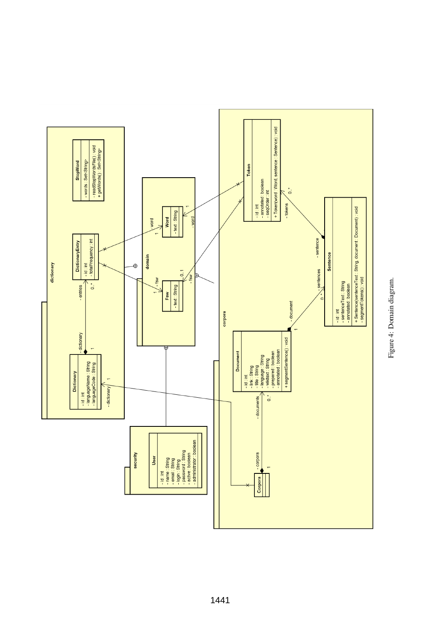<span id="page-3-0"></span>

Figure 4: Domain diagram. Figure 4: Domain diagram.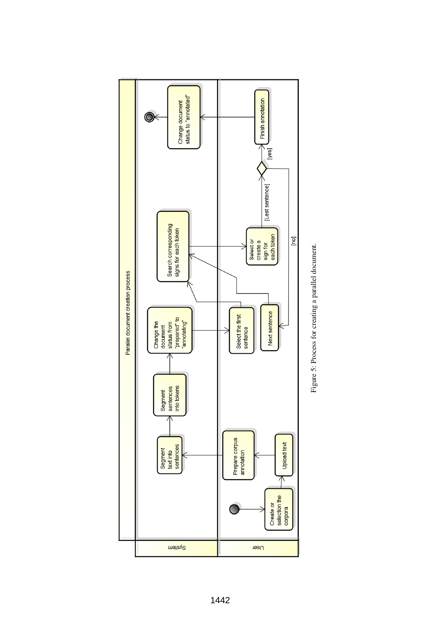

<span id="page-4-0"></span>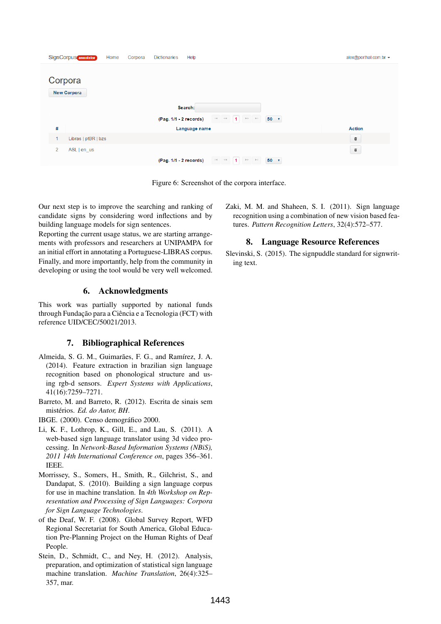| SignCorpus annotator<br>Home<br>Corpora | Dictionaries<br>Help                                                                                                                                | alex@porthal.com.br +  |
|-----------------------------------------|-----------------------------------------------------------------------------------------------------------------------------------------------------|------------------------|
| Corpora<br><b>New Corpora</b>           |                                                                                                                                                     |                        |
|                                         | Search:                                                                                                                                             |                        |
|                                         | $\mathbb{H}^2$ = $\mathbb{H}^2$<br>$\mathbb{R}^n$ . $\mathbb{R}^n$<br>$\blacksquare$<br>$50 \times$<br>(Pag. 1/1 - 2 records)                       |                        |
| #                                       | Language name                                                                                                                                       | <b>Action</b>          |
| Libras   ptBR   bzs<br>1                |                                                                                                                                                     | $\widehat{\mathbf{w}}$ |
| $\overline{2}$<br>ASL   en_us           |                                                                                                                                                     | $\widehat{\mathbf{w}}$ |
|                                         | $\ \cdot\ $ $\ \cdot\ $<br>$50 \times$<br>$\blacksquare$<br>$\left\vert \nu \right\rangle$ $\left\vert \nu \right\rangle$<br>(Pag. 1/1 - 2 records) |                        |

<span id="page-5-8"></span>Figure 6: Screenshot of the corpora interface.

Our next step is to improve the searching and ranking of candidate signs by considering word inflections and by building language models for sign sentences.

Reporting the current usage status, we are starting arrangements with professors and researchers at UNIPAMPA for an initial effort in annotating a Portuguese-LIBRAS corpus. Finally, and more importantly, help from the community in developing or using the tool would be very well welcomed.

## 6. Acknowledgments

This work was partially supported by national funds through Fundação para a Ciência e a Tecnologia (FCT) with reference UID/CEC/50021/2013.

## 7. Bibliographical References

- <span id="page-5-7"></span>Almeida, S. G. M., Guimarães, F. G., and Ramírez, J. A. (2014). Feature extraction in brazilian sign language recognition based on phonological structure and using rgb-d sensors. *Expert Systems with Applications*, 41(16):7259–7271.
- <span id="page-5-2"></span>Barreto, M. and Barreto, R. (2012). Escrita de sinais sem mistérios. Ed. do Autor, BH.
- <span id="page-5-1"></span>IBGE. (2000). Censo demográfico 2000.
- <span id="page-5-5"></span>Li, K. F., Lothrop, K., Gill, E., and Lau, S. (2011). A web-based sign language translator using 3d video processing. In *Network-Based Information Systems (NBiS), 2011 14th International Conference on*, pages 356–361. IEEE.
- <span id="page-5-4"></span>Morrissey, S., Somers, H., Smith, R., Gilchrist, S., and Dandapat, S. (2010). Building a sign language corpus for use in machine translation. In *4th Workshop on Representation and Processing of Sign Languages: Corpora for Sign Language Technologies*.
- <span id="page-5-0"></span>of the Deaf, W. F. (2008). Global Survey Report, WFD Regional Secretariat for South America, Global Education Pre-Planning Project on the Human Rights of Deaf People.
- <span id="page-5-3"></span>Stein, D., Schmidt, C., and Ney, H. (2012). Analysis, preparation, and optimization of statistical sign language machine translation. *Machine Translation*, 26(4):325– 357, mar.

<span id="page-5-6"></span>Zaki, M. M. and Shaheen, S. I. (2011). Sign language recognition using a combination of new vision based features. *Pattern Recognition Letters*, 32(4):572–577.

# 8. Language Resource References

Slevinski, S. (2015). The signpuddle standard for signwriting text.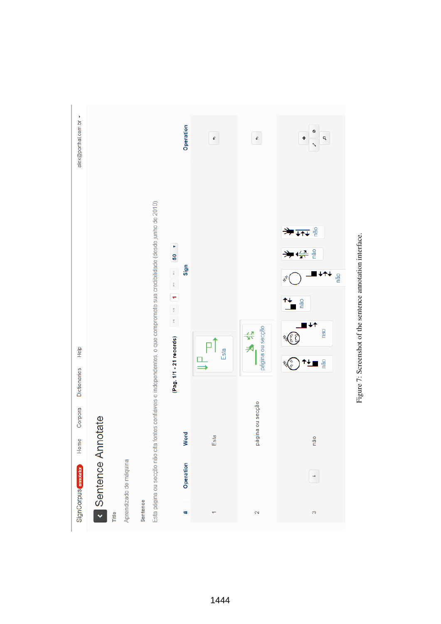<span id="page-6-0"></span>

| alex@porthal.com.br ▼       |                        |                                                                                                                             | Operation                                                                                                                            | $\epsilon$ | $\pmb{\epsilon}$       | $^{\circ}$<br>q<br>٠<br>あい しょう          |
|-----------------------------|------------------------|-----------------------------------------------------------------------------------------------------------------------------|--------------------------------------------------------------------------------------------------------------------------------------|------------|------------------------|-----------------------------------------|
|                             |                        | Esta página ou secção não cita fontes confiáveis e independentes, o que compromete sua credibilidade (desde junho de 2010). | 50 <sub>7</sub><br>Sign<br>$\bar{\mathbb{A}}$<br>$\hat{\mathbb{A}}$<br>÷<br>$\overline{\psi}$<br>$\overline{\underline{\mathbf{r}}}$ |            |                        | <del>≫∡∧</del><br>≫⇔<br>₩<br>não<br>não |
| <b>Help</b><br>Dictionaries |                        |                                                                                                                             | (Pag. 1/1 - 21 records)                                                                                                              | Esta       | página ou secção<br>长夫 | nao<br>não                              |
| Corpora<br>Home             | Sentence Annotate      |                                                                                                                             | Word                                                                                                                                 | Esta       | página ou secção       | não                                     |
| SignCorpus amotator         | Aprendizado de máquina |                                                                                                                             | Operation                                                                                                                            |            |                        | $\rightarrow$                           |
|                             | Title                  | Sentence                                                                                                                    | ₩                                                                                                                                    |            | $\mathbf{\Omega}$      | $\infty$                                |

Figure 7: Screenshot of the sentence annotation interface. Figure 7: Screenshot of the sentence annotation interface.